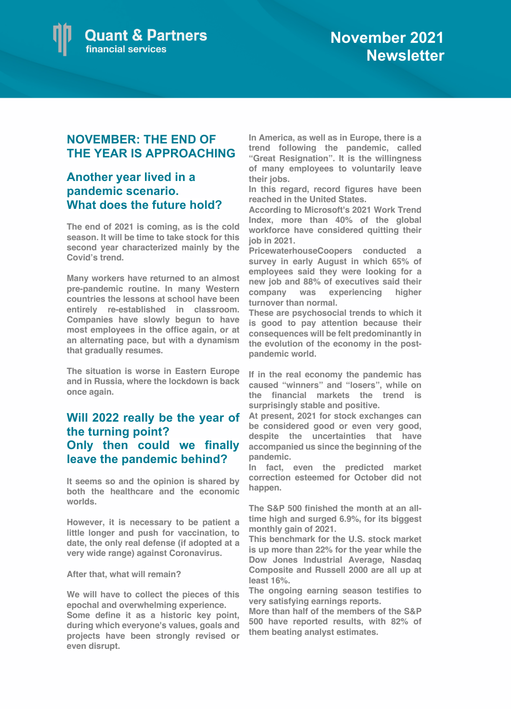

## **NOVEMBER: THE END OF THE YEAR IS APPROACHING**

## **Another year lived in a pandemic scenario. What does the future hold?**

**The end of 2021 is coming, as is the cold season. It will be time to take stock for this second year characterized mainly by the Covid's trend.**

**Many workers have returned to an almost pre-pandemic routine. In many Western countries the lessons at school have been entirely re-established in classroom. Companies have slowly begun to have most employees in the office again, or at an alternating pace, but with a dynamism that gradually resumes.** 

**The situation is worse in Eastern Europe and in Russia, where the lockdown is back once again.**

## **Will 2022 really be the year of the turning point? Only then could we finally leave the pandemic behind?**

**It seems so and the opinion is shared by both the healthcare and the economic worlds.**

**However, it is necessary to be patient a little longer and push for vaccination, to date, the only real defense (if adopted at a very wide range) against Coronavirus.**

**After that, what will remain?**

**We will have to collect the pieces of this epochal and overwhelming experience.**

**Some define it as a historic key point, during which everyone's values, goals and projects have been strongly revised or even disrupt.** 

**In America, as well as in Europe, there is a trend following the pandemic, called "Great Resignation". It is the willingness of many employees to voluntarily leave their jobs.**

**In this regard, record figures have been reached in the United States.**

**According to Microsoft's 2021 Work Trend Index, more than 40% of the global workforce have considered quitting their job in 2021.** 

**PricewaterhouseCoopers conducted a survey in early August in which 65% of employees said they were looking for a new job and 88% of executives said their company was experiencing higher turnover than normal.**

**These are psychosocial trends to which it is good to pay attention because their consequences will be felt predominantly in the evolution of the economy in the postpandemic world.**

**If in the real economy the pandemic has caused "winners" and "losers", while on the financial markets the trend is surprisingly stable and positive.** 

**At present, 2021 for stock exchanges can be considered good or even very good, despite the uncertainties that have accompanied us since the beginning of the pandemic.**

**In fact, even the predicted market correction esteemed for October did not happen.**

**The S&P 500 finished the month at an alltime high and surged 6.9%, for its biggest monthly gain of 2021.** 

**This benchmark for the U.S. stock market is up more than 22% for the year while the Dow Jones Industrial Average, Nasdaq Composite and Russell 2000 are all up at least 16%.**

**The ongoing earning season testifies to very satisfying earnings reports.**

**More than half of the members of the S&P 500 have reported results, with 82% of them beating analyst estimates.**